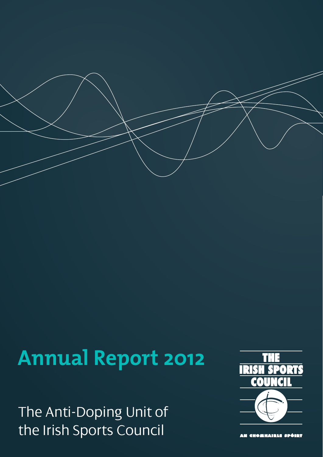

### **Annual Report 2012**

The Anti-Doping Unit of the Irish Sports Council



AN CHOMHAIRLE SPÓIRT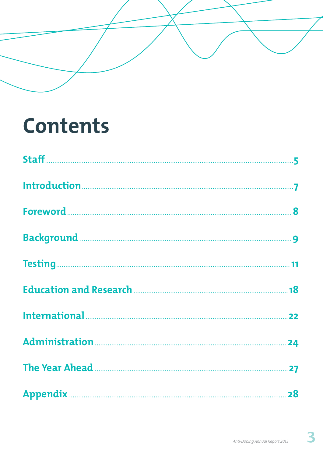### **Contents**

| The Year Ahead <b>Manual Manual Manual Prime Prime 27</b> |  |
|-----------------------------------------------------------|--|
|                                                           |  |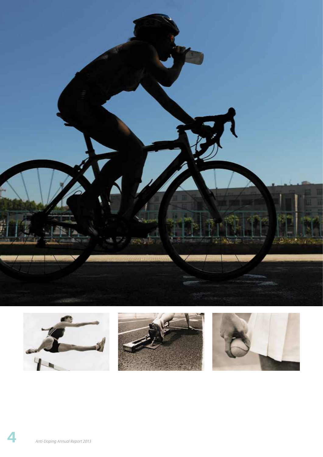





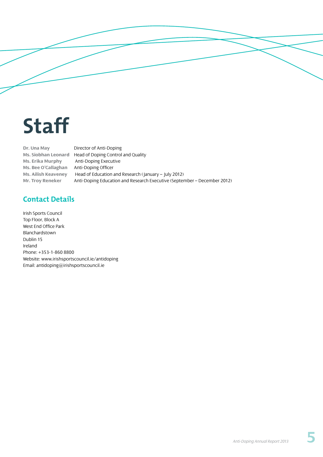### **Staff**

**Dr. Una May** Director of Anti-Doping **Ms. Siobhan Leonard** Head of Doping Control and Quality **Ms. Erika Murphy** Anti-Doping Executive **Ms. Bee O'Callaghan** Anti-Doping Officer **Ms. Ailish Keaveney** Head of Education and Research (January – July 2012) **Mr. Troy Reneker** Anti-Doping Education and Research Executive (September – December 2012)

#### **Contact Details**

Irish Sports Council Top Floor, Block A West End Office Park Blanchardstown Dublin 15 Ireland Phone: +353-1-860 8800 Website: www.irishsportscouncil.ie/antidoping Email: antidoping@irishsportscouncil.ie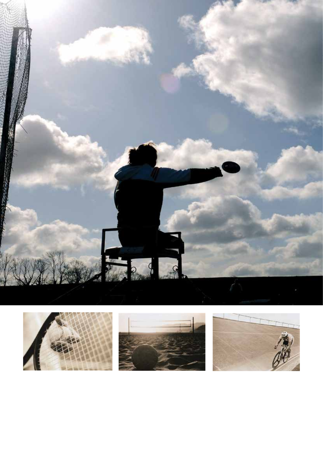





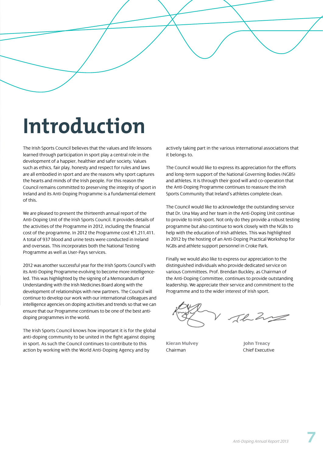### **Introduction**

The Irish Sports Council believes that the values and life lessons learned through participation in sport play a central role in the development of a happier, healthier and safer society. Values such as ethics, fair play, honesty and respect for rules and laws are all embodied in sport and are the reasons why sport captures the hearts and minds of the Irish people. For this reason the Council remains committed to preserving the integrity of sport in Ireland and its Anti-Doping Programme is a fundamental element of this.

We are pleased to present the thirteenth annual report of the Anti-Doping Unit of the Irish Sports Council. It provides details of the activities of the Programme in 2012, including the financial cost of the programme. In 2012 the Programme cost €1,211,411. A total of 937 blood and urine tests were conducted in Ireland and overseas. This incorporates both the National Testing Programme as well as User-Pays services.

2012 was another successful year for the Irish Sports Council's with its Anti-Doping Programme evolving to become more intelligenceled. This was highlighted by the signing of a Memorandum of Understanding with the Irish Medicines Board along with the development of relationships with new partners. The Council will continue to develop our work with our international colleagues and intelligence agencies on doping activities and trends so that we can ensure that our Programme continues to be one of the best antidoping programmes in the world.

The Irish Sports Council knows how important it is for the global anti-doping community to be united in the fight against doping in sport. As such the Council continues to contribute to this action by working with the World Anti-Doping Agency and by

actively taking part in the various international associations that it belongs to.

The Council would like to express its appreciation for the efforts and long-term support of the National Governing Bodies (NGBS) and athletes. It is through their good will and co-operation that the Anti-Doping Programme continues to reassure the Irish Sports Community that Ireland's athletes complete clean.

The Council would like to acknowledge the outstanding service that Dr. Una May and her team in the Anti-Doping Unit continue to provide to Irish sport. Not only do they provide a robust testing programme but also continue to work closely with the NGBs to help with the education of Irish athletes. This was highlighted in 2012 by the hosting of an Anti-Doping Practical Workshop for NGBs and athlete support personnel in Croke Park.

Finally we would also like to express our appreciation to the distinguished individuals who provide dedicated service on various Committees. Prof. Brendan Buckley, as Chairman of the Anti-Doping Committee, continues to provide outstanding leadership. We appreciate their service and commitment to the Programme and to the wider interest of Irish sport.

Jhhy

**Kieran Mulvey John Treacy**

Chairman Chief Executive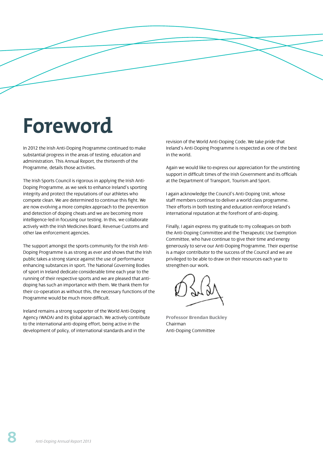### **Foreword**

In 2012 the Irish Anti-Doping Programme continued to make substantial progress in the areas of testing, education and administration. This Annual Report, the thirteenth of the Programme, details those activities.

The Irish Sports Council is rigorous in applying the Irish Anti-Doping Programme, as we seek to enhance Ireland's sporting integrity and protect the reputations of our athletes who compete clean. We are determined to continue this fight. We are now evolving a more complex approach to the prevention and detection of doping cheats and we are becoming more intelligence-led in focusing our testing. In this, we collaborate actively with the Irish Medicines Board, Revenue Customs and other law enforcement agencies.

The support amongst the sports community for the Irish Anti-Doping Programme is as strong as ever and shows that the Irish public takes a strong stance against the use of performance enhancing substances in sport. The National Governing Bodies of sport in Ireland dedicate considerable time each year to the running of their respective sports and we are pleased that antidoping has such an importance with them. We thank them for their co-operation as without this, the necessary functions of the Programme would be much more difficult.

Ireland remains a strong supporter of the World Anti-Doping Agency (WADA) and its global approach. We actively contribute to the international anti-doping effort, being active in the development of policy, of international standards and in the

revision of the World Anti-Doping Code. We take pride that Ireland's Anti-Doping Programme is respected as one of the best in the world.

Again we would like to express our appreciation for the unstinting support in difficult times of the Irish Government and its officials at the Department of Transport, Tourism and Sport.

I again acknowledge the Council's Anti-Doping Unit, whose staff members continue to deliver a world class programme. Their efforts in both testing and education reinforce Ireland's international reputation at the forefront of anti-doping.

Finally, I again express my gratitude to my colleagues on both the Anti-Doping Committee and the Therapeutic Use Exemption Committee, who have continue to give their time and energy generously to serve our Anti-Doping Programme. Their expertise is a major contributor to the success of the Council and we are privileged to be able to draw on their resources each year to strengthen our work.

**Professor Brendan Buckley** Chairman Anti-Doping Committee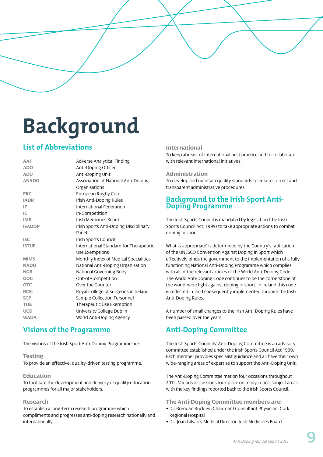### **Background**

#### **List of Abbreviations**

| <b>AAF</b>    | Adverse Analytical Finding             |
|---------------|----------------------------------------|
| <b>ADO</b>    | Anti-Doping Officer                    |
| <b>ADU</b>    | Anti-Doping Unit                       |
| <b>ANADO</b>  | Association of National Anti-Doping    |
|               | Organisations                          |
| <b>ERC</b>    | European Rugby Cup                     |
| <b>IADR</b>   | Irish Anti-Doping Rules                |
| IF            | International Federation               |
| IC            | In-Competition                         |
| <b>IMB</b>    | Irish Medicines Board                  |
| <b>ISADDP</b> | Irish Sports Anti-Doping Disciplinary  |
|               | Panel                                  |
| <b>ISC</b>    | Irish Sports Council                   |
| <b>ISTUE</b>  | International Standard for Therapeutic |
|               | Use Exemptions                         |
| <b>MIMS</b>   | Monthly Index of Medical Specialities  |
| <b>NADO</b>   | National Anti-Doping Organisation      |
| <b>NGB</b>    | National Governing Body                |
| OOC           | Out-of-Competition                     |
| <b>OTC</b>    | Over the Counter                       |
| <b>RCSI</b>   | Royal College of surgeons in Ireland   |
| <b>SCP</b>    | Sample Collection Personnel            |
| <b>TUE</b>    | Therapeutic Use Exemption              |
| <b>UCD</b>    | University College Dublin              |
| <b>WADA</b>   | World Anti-Doping Agency               |
|               |                                        |

#### **Visions of the Programme**

The visions of the Irish Sport Anti-Doping Programme are:

#### **Testing**

To provide an effective, quality-driven testing programme.

#### **Education**

To facilitate the development and delivery of quality education programmes for all major stakeholders.

#### **Research**

To establish a long-term research programme which compliments and progresses anti-doping research nationally and internationally.

#### **International**

To keep abreast of international best practice and to collaborate with relevant international initiatives.

#### **Administration**

To develop and maintain quality standards to ensure correct and transparent administrative procedures.

#### **Background to the Irish Sport Anti-Doping Programme**

The Irish Sports Council is mandated by legislation (the Irish Sports Council Act, 1999) to take appropriate actions to combat doping in sport.

What is 'appropriate' is determined by the Country's ratification of the UNESCO Convention Against Doping in Sport which effectively binds the government to the implementation of a fully functioning National Anti-Doping Programme which complies with all of the relevant articles of the World Anti-Doping Code. The World Anti-Doping Code continues to be the cornerstone of the world-wide fight against doping in sport. In Ireland this code is reflected in, and consequently implemented through the Irish Anti-Doping Rules.

A number of small changes to the Irish Anti-Doping Rules have been passed over the years.

#### **Anti-Doping Committee**

The Irish Sports Councils' Anti-Doping Committee is an advisory committee established under the Irish Sports Council Act 1999. Each member provides specialist guidance and all have their own wide-ranging areas of expertise to support the Anti-Doping Unit.

The Anti-Doping Committee met on four occasions throughout 2012. Various discussions took place on many critical subject areas with the key findings reported back to the Irish Sports Council.

#### **The Anti-Doping Committee members are:**

- Dr. Brendan Buckley (Chairman) Consultant Physician, Cork Regional Hospital
- Dr. Joan Gilvarry Medical Director, Irish Medicines Board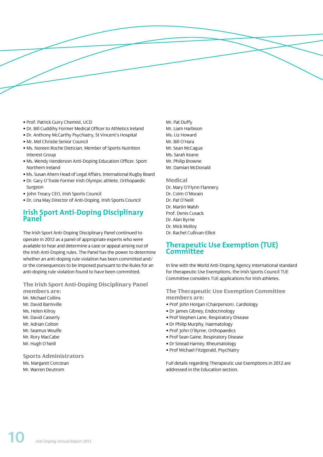- Prof. Patrick Guiry Chemist, UCD
- Dr. Bill Cuddihy Former Medical Officer to Athletics Ireland
- Dr. Anthony McCarthy Psychiatry, St Vincent's Hospital
- Mr. Mel Christie Senior Council
- Ms. Noreen Roche Dietician, Member of Sports Nutrition Interest Group
- Ms. Wendy Henderson Anti-Doping Education Officer, Sport Northern Ireland
- Ms. Susan Ahern Head of Legal Affairs, International Rugby Board
- Dr. Gary O'Toole Former Irish Olympic athlete, Orthopaedic Surgeon
- John Treacy CEO, Irish Sports Council
- Dr. Una May Director of Anti-Doping, Irish Sports Council

#### **Irish Sport Anti-Doping Disciplinary Panel**

The Irish Sport Anti-Doping Disciplinary Panel continued to operate in 2012 as a panel of appropriate experts who were available to hear and determine a case or appeal arising out of the Irish Anti-Doping rules. The Panel has the power to determine whether an anti-doping rule violation has been committed and/ or the consequences to be imposed pursuant to the Rules for an anti-doping rule violation found to have been committed.

#### **The Irish Sport Anti-Doping Disciplinary Panel**

**members are:** Mr. Michael Collins Mr. David Barniville Ms. Helen Kilroy Mr. David Casserly Mr. Adrian Colton Mr. Seamus Woulfe Mr. Rory MacCabe Mr. Hugh O'Neill

#### **Sports Administrators** Ms. Margaret Corcoran Mr. Warren Deutrom

Mr. Pat Duffy Mr. Liam Harbison Ms. Liz Howard Mr. Bill O'Hara Mr. Sean McCague Ms. Sarah Keane Mr. Philip Browne Mr. Damian McDonald

#### **Medical**

Dr. Mary O'Flynn Flannery Dr. Colm O'Morain Dr. Pat O'Neill Dr. Martin Walsh Prof. Denis Cusack Dr. Alan Byrne Dr. Mick Molloy Dr. Rachel Cullivan-Elliot

#### **Therapeutic Use Exemption (TUE) Committee**

In line with the World Anti-Doping Agency International standard for therapeutic Use Exemptions, the Irish Sports Council TUE Committee considers TUE applications for Irish athletes.

**The Therapeutic Use Exemption Committee members are:**

- Prof John Horgan (Chairperson), Cardiology
- Dr James Gibney, Endocrinology
- Prof Stephen Lane, Respiratory Disease
- Dr Philip Murphy, Haematology
- Prof John O'Byrne, Orthopaedics
- Prof Sean Gaine, Respiratory Disease
- Dr Sinead Harney, Rheumatology
- Prof Michael Fitzgerald, Psychiatry

Full details regarding Therapeutic use Exemptions in 2012 are addressed in the Education section.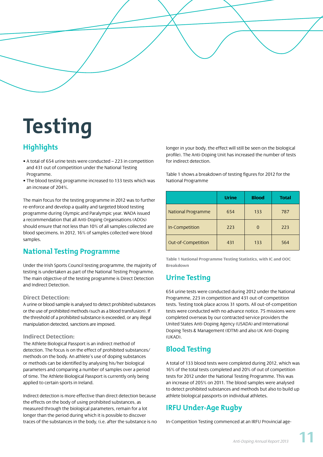### **Testing**

#### **Highlights**

- A total of 654 urine tests were conducted 223 in competition and 431 out of competition under the National Testing Programme.
- The blood testing programme increased to 133 tests which was an increase of 204%.

The main focus for the testing programme in 2012 was to further re-enforce and develop a quality and targeted blood testing programme during Olympic and Paralympic year. WADA issued a recommendation that all Anti-Doping Organisations (ADOs) should ensure that not less than 10% of all samples collected are blood specimens. In 2012, 16% of samples collected were blood samples.

#### **National Testing Programme**

Under the Irish Sports Council testing programme, the majority of testing is undertaken as part of the National Testing Programme. The main objective of the testing programme is Direct Detection and Indirect Detection.

#### **Direct Detection:**

A urine or blood sample is analysed to detect prohibited substances or the use of prohibited methods (such as a blood transfusion). If the threshold of a prohibited substance is exceeded, or any illegal manipulation detected, sanctions are imposed.

#### **Indirect Detection:**

The Athlete Biological Passport is an indirect method of detection. The focus is on the effect of prohibited substances/ methods on the body. An athlete's use of doping substances or methods can be identified by analysing his/her biological parameters and comparing a number of samples over a period of time. The Athlete Biological Passport is currently only being applied to certain sports in Ireland.

Indirect detection is more effective than direct detection because the effects on the body of using prohibited substances, as measured through the biological parameters, remain for a lot longer than the period during which it is possible to discover traces of the substances in the body, (i.e. after the substance is no longer in your body, the effect will still be seen on the biological profile). The Anti-Doping Unit has increased the number of tests for indirect detection.

Table 1 shows a breakdown of testing figures for 2012 for the National Programme

|                    | <b>Urine</b> | <b>Blood</b> | <b>Total</b> |
|--------------------|--------------|--------------|--------------|
| National Programme | 654          | 133          | 787          |
| In-Competition     | 223          | O            | 223          |
| Out-of-Competition | 431          | 133          | 564          |

**Table 1 National Programme Testing Statistics, with IC and OOC Breakdown** 

#### **Urine Testing**

654 urine tests were conducted during 2012 under the National Programme, 223 in competition and 431 out-of-competition tests. Testing took place across 31 sports. All out-of-competition tests were conducted with no advance notice. 75 missions were completed overseas by our contracted service providers the United States Anti-Doping Agency (USADA) and International Doping Tests & Management (IDTM) and also UK Anti-Doping (UKAD).

#### **Blood Testing**

A total of 133 blood tests were completed during 2012, which was 16% of the total tests completed and 20% of out of competition tests for 2012 under the National Testing Programme. This was an increase of 205% on 2011. The blood samples were analysed to detect prohibited substances and methods but also to build up athlete biological passports on individual athletes.

#### **IRFU Under-Age Rugby**

In-Competition Testing commenced at an IRFU Provincial age-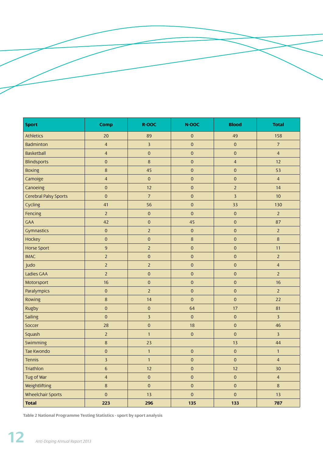| <b>Sport</b>             | <b>Comp</b>             | <b>R-OOC</b>            | N-OOC        | <b>Blood</b>            | <b>Total</b>            |
|--------------------------|-------------------------|-------------------------|--------------|-------------------------|-------------------------|
| Athletics                | 20                      | 89                      | $\pmb{0}$    | 49                      | 158                     |
| Badminton                | $\overline{\mathbf{r}}$ | $\overline{\mathbf{3}}$ | $\pmb{0}$    | $\mathbf 0$             | $\overline{7}$          |
| <b>Basketball</b>        | $\overline{\mathbf{4}}$ | $\mathbf 0$             | $\pmb{0}$    | $\mathbf 0$             | $\overline{4}$          |
| <b>Blindsports</b>       | $\pmb{0}$               | $\,8\,$                 | $\pmb{0}$    | $\overline{a}$          | 12                      |
| Boxing                   | $\,$ 8 $\,$             | 45                      | $\mathbf 0$  | $\mathbf 0$             | 53                      |
| Camoige                  | $\overline{\mathbf{4}}$ | $\mathbf 0$             | $\pmb{0}$    | $\mathsf{O}\xspace$     | $\overline{4}$          |
| Canoeing                 | $\pmb{0}$               | 12                      | $\pmb{0}$    | $\overline{c}$          | 14                      |
| Cerebral Palsy Sports    | $\mathbf 0$             | $\overline{7}$          | $\pmb{0}$    | $\overline{\mathbf{3}}$ | 10                      |
| Cycling                  | 41                      | 56                      | $\pmb{0}$    | 33                      | 130                     |
| Fencing                  | $\overline{c}$          | $\pmb{0}$               | $\pmb{0}$    | $\mathbf 0$             | $\overline{2}$          |
| <b>GAA</b>               | 42                      | $\mathbf 0$             | 45           | $\mathbf 0$             | 87                      |
| Gymnastics               | $\pmb{0}$               | $\overline{2}$          | $\mathbf 0$  | $\mathsf{O}\xspace$     | $\overline{2}$          |
| Hockey                   | $\pmb{0}$               | $\pmb{0}$               | $\,8\,$      | $\mathbf 0$             | $\,8\,$                 |
| <b>Horse Sport</b>       | 9                       | $\overline{2}$          | $\pmb{0}$    | $\mathsf{O}\xspace$     | 11                      |
| <b>IMAC</b>              | $\overline{c}$          | $\mathbf 0$             | $\pmb{0}$    | $\mathbf 0$             | $\overline{2}$          |
| Judo                     | $\overline{c}$          | $\overline{2}$          | $\pmb{0}$    | $\mathbf 0$             | $\overline{a}$          |
| <b>Ladies GAA</b>        | $\overline{c}$          | $\mathbf 0$             | $\pmb{0}$    | $\mathbf 0$             | $\overline{2}$          |
| Motorsport               | 16                      | $\pmb{0}$               | $\pmb{0}$    | $\mathbf 0$             | 16                      |
| Paralympics              | $\pmb{0}$               | $\overline{2}$          | $\mathbf 0$  | $\mathbf 0$             | $\overline{2}$          |
| Rowing                   | 8                       | 14                      | $\pmb{0}$    | $\mathbf 0$             | 22                      |
| Rugby                    | $\pmb{0}$               | $\mathbf 0$             | 64           | 17                      | 81                      |
| Sailing                  | $\pmb{0}$               | $\overline{\mathbf{3}}$ | $\pmb{0}$    | $\mathbf 0$             | $\overline{\mathbf{3}}$ |
| Soccer                   | 28                      | $\mathbf 0$             | 18           | $\mathbf 0$             | 46                      |
| Squash                   | $\overline{c}$          | $\mathbf{1}$            | $\pmb{0}$    | $\mathbf 0$             | $\overline{3}$          |
| Swimming                 | $\,$ 8 $\,$             | 23                      |              | 13                      | 44                      |
| Tae Kwondo               | $\mathbf 0$             | $\mathbf{1}$            | $\pmb{0}$    | $\mathbf 0$             | $\mathbf{1}$            |
| Tennis                   | 3                       | 1                       | $\mathbf{0}$ | 0                       | 4                       |
| Triathlon                | $\sqrt{6}$              | 12                      | $\mathbf 0$  | 12                      | 30                      |
| Tug of War               | $\overline{4}$          | $\overline{0}$          | $\mathbf{0}$ | $\overline{0}$          | $\overline{4}$          |
| Weightlifting            | $\bf 8$                 | $\mathbf 0$             | $\mathbf{0}$ | $\mathbf 0$             | $\bf 8$                 |
| <b>Wheelchair Sports</b> | $\mathsf{O}\xspace$     | 13                      | $\pmb{0}$    | $\pmb{0}$               | 13                      |
| <b>Total</b>             | 223                     | 296                     | 135          | 133                     | 787                     |

**Table 2 National Programme Testing Statistics - sport by sport analysis**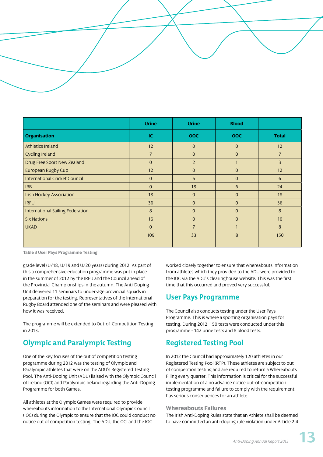|                                         | <b>Urine</b>   | <b>Urine</b>   | <b>Blood</b> |                |
|-----------------------------------------|----------------|----------------|--------------|----------------|
| <b>Organisation</b>                     | IC             | OOC            | <b>OOC</b>   | <b>Total</b>   |
| <b>Athletics Ireland</b>                | 12             | $\mathbf{0}$   | $\mathbf{0}$ | 12             |
| <b>Cycling Ireland</b>                  | $\overline{7}$ | $\mathbf{0}$   | $\mathbf{0}$ | $\overline{7}$ |
| Drug Free Sport New Zealand             | $\overline{0}$ | $\overline{2}$ |              | 3              |
| European Rugby Cup                      | 12             | $\mathbf{0}$   | $\mathbf{0}$ | 12             |
| <b>International Cricket Council</b>    | $\mathbf{0}$   | 6              | $\mathbf{0}$ | 6              |
| <b>IRB</b>                              | $\overline{0}$ | 18             | 6            | 24             |
| <b>Irish Hockey Association</b>         | 18             | $\mathbf{0}$   | $\mathbf{0}$ | 18             |
| <b>IRFU</b>                             | 36             | $\mathbf{0}$   | $\mathbf{0}$ | 36             |
| <b>International Sailing Federation</b> | 8              | $\Omega$       | $\Omega$     | 8              |
| <b>Six Nations</b>                      | 16             | $\mathbf{0}$   | $\mathbf{0}$ | 16             |
| <b>UKAD</b>                             | $\mathbf{0}$   | $\overline{7}$ |              | 8              |
|                                         | 109            | 33             | 8            | 150            |
|                                         |                |                |              |                |

**Table 3 User Pays Programme Testing**

grade level (U/18, U/19 and U/20 years) during 2012. As part of this a comprehensive education programme was put in place in the summer of 2012 by the IRFU and the Council ahead of the Provincial Championships in the autumn. The Anti-Doping Unit delivered 11 seminars to under-age provincial squads in preparation for the testing. Representatives of the International Rugby Board attended one of the seminars and were pleased with how it was received.

The programme will be extended to Out-of-Competition Testing in 2013.

#### **Olympic and Paralympic Testing**

One of the key focuses of the out of competition testing programme during 2012 was the testing of Olympic and Paralympic athletes that were on the ADU's Registered Testing Pool. The Anti-Doping Unit (ADU) liaised with the Olympic Council of Ireland (OCI) and Paralympic Ireland regarding the Anti-Doping Programme for both Games.

All athletes at the Olympic Games were required to provide whereabouts information to the International Olympic Council (IOC) during the Olympic to ensure that the IOC could conduct no notice out of competition testing. The ADU, the OCI and the IOC

worked closely together to ensure that whereabouts information from athletes which they provided to the ADU were provided to the IOC via the ADU's clearinghouse website. This was the first time that this occurred and proved very successful.

#### **User Pays Programme**

The Council also conducts testing under the User Pays Programme. This is where a sporting organisation pays for testing. During 2012, 150 tests were conducted under this programme - 142 urine tests and 8 blood tests.

#### **Registered Testing Pool**

In 2012 the Council had approximately 120 athletes in our Registered Testing Pool (RTP). These athletes are subject to out of competition testing and are required to return a Whereabouts Filing every quarter. This information is critical for the successful implementation of a no advance notice out-of-competition testing programme and failure to comply with the requirement has serious consequences for an athlete.

#### **Whereabouts Failures**

The Irish Anti-Doping Rules state that an Athlete shall be deemed to have committed an anti-doping rule violation under Article 2.4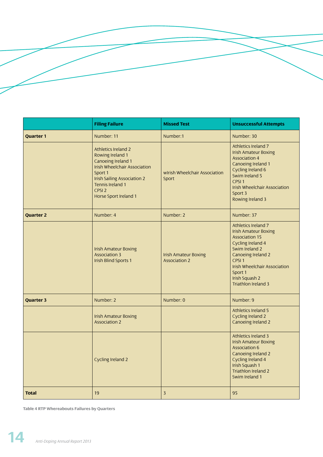|                  | <b>Filing Failure</b>                                                                                                                                                                                                   | <b>Missed Test</b>                                  | <b>Unsuccessful Attempts</b>                                                                                                                                                                                                                             |
|------------------|-------------------------------------------------------------------------------------------------------------------------------------------------------------------------------------------------------------------------|-----------------------------------------------------|----------------------------------------------------------------------------------------------------------------------------------------------------------------------------------------------------------------------------------------------------------|
| <b>Quarter 1</b> | Number: 11                                                                                                                                                                                                              | Number:1                                            | Number: 30                                                                                                                                                                                                                                               |
|                  | Athletics Ireland 2<br>Rowing Ireland 1<br>Canoeing Ireland 1<br><b>Irish Wheelchair Association</b><br>Sport 1<br><b>Irish Sailing Association 2</b><br>Tennis Ireland 1<br>CPSI <sub>2</sub><br>Horse Sport Ireland 1 | wlrish Wheelchair Association<br>Sport              | Athletics Ireland 7<br><b>Irish Amateur Boxing</b><br><b>Association 4</b><br>Canoeing Ireland 1<br>Cycling Ireland 6<br>Swim Ireland 5<br>CPSI <sub>1</sub><br><b>Irish Wheelchair Association</b><br>Sport 3<br>Rowing Ireland 3                       |
| <b>Quarter 2</b> | Number: 4                                                                                                                                                                                                               | Number: 2                                           | Number: 37                                                                                                                                                                                                                                               |
|                  | <b>Irish Amateur Boxing</b><br><b>Association 3</b><br><b>Irish Blind Sports 1</b>                                                                                                                                      | <b>Irish Amateur Boxing</b><br><b>Association 2</b> | Athletics Ireland 7<br><b>Irish Amateur Boxing</b><br><b>Association 15</b><br>Cycling Ireland 4<br>Swim Ireland 2<br>Canoeing Ireland 2<br>CPSI <sub>1</sub><br><b>Irish Wheelchair Association</b><br>Sport 1<br>Irish Squash 2<br>Triathlon Ireland 3 |
| <b>Quarter 3</b> | Number: 2                                                                                                                                                                                                               | Number: 0                                           | Number: 9                                                                                                                                                                                                                                                |
|                  | <b>Irish Amateur Boxing</b><br><b>Association 2</b>                                                                                                                                                                     |                                                     | Athletics Ireland 5<br>Cycling Ireland 2<br>Canoeing Ireland 2                                                                                                                                                                                           |
|                  | <b>Cycling Ireland 2</b>                                                                                                                                                                                                |                                                     | <b>Athletics Ireland 3</b><br><b>Irish Amateur Boxing</b><br><b>Association 6</b><br>Canoeing Ireland 2<br>Cycling Ireland 4<br>Irish Squash 1<br><b>Triathlon Ireland 2</b><br>Swim Ireland 1                                                           |
| <b>Total</b>     | 19                                                                                                                                                                                                                      | $\overline{\mathbf{3}}$                             | 95                                                                                                                                                                                                                                                       |

**Table 4 RTP Whereabouts Failures by Quarters**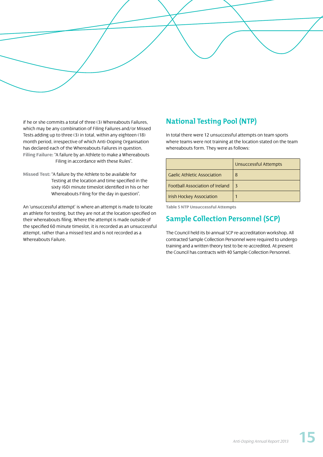if he or she commits a total of three (3) Whereabouts Failures, which may be any combination of Filing Failures and/or Missed Tests adding up to three (3) in total, within any eighteen (18) month period, irrespective of which Anti-Doping Organisation has declared each of the Whereabouts Failures in question. **Filing Failure:** "A failure by an Athlete to make a Whereabouts Filing in accordance with these Rules".

**Missed Test:** "A failure by the Athlete to be available for Testing at the location and time specified in the sixty (60) minute timeslot identified in his or her Whereabouts Filing for the day in question".

An 'unsuccessful attempt' is where an attempt is made to locate an athlete for testing, but they are not at the location specified on their whereabouts filing. Where the attempt is made outside of the specified 60 minute timeslot, it is recorded as an unsuccessful attempt, rather than a missed test and is not recorded as a Whereabouts Failure.

### **National Testing Pool (NTP)**

In total there were 12 unsuccessful attempts on team sports where teams were not training at the location stated on the team whereabouts form. They were as follows:

|                                        | Unsuccessful Attempts |
|----------------------------------------|-----------------------|
| <b>Gaelic Athletic Association</b>     | 8                     |
| <b>Football Association of Ireland</b> |                       |
| <b>Irish Hockey Association</b>        |                       |

**Table 5 NTP Unsuccessful Attempts**

#### **Sample Collection Personnel (SCP)**

The Council held its bi-annual SCP re-accreditation workshop. All contracted Sample Collection Personnel were required to undergo training and a written theory test to be re-accredited. At present the Council has contracts with 40 Sample Collection Personnel.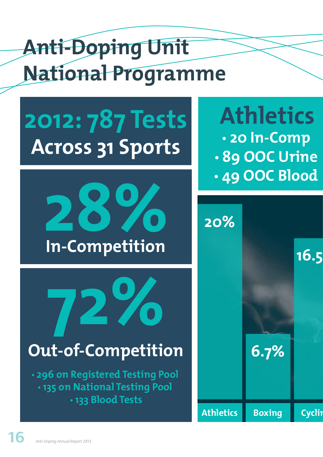### **Anti-Doping Unit National Programme**

## 2012: 787 Tests **Across 31 Sports**



**In-Competition** 

# 72% Out-of-Competition

**• 296 on Registered Testing Pool · 135 on National Testing Pool ·** 133 Blood Tests

**Athletics** • 20 In-Comp **• 89 00C Urine • 49 OOC Blood** 

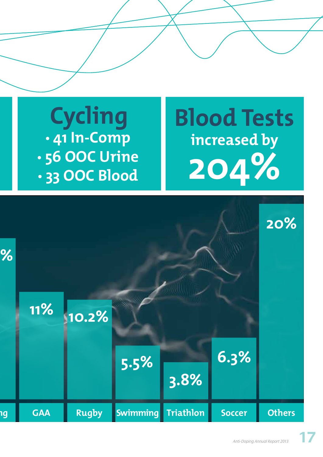

**National Programme** 

### **Blood Tests** increased by 204%

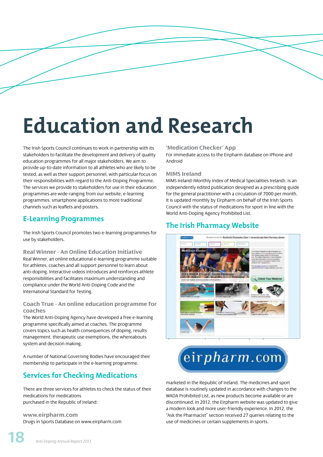### **Education and Research**

The Irish Sports Council continues to work in partnership with its stakeholders to facilitate the development and delivery of quality education programmes for all major stakeholders. We aim to provide up-to-date information to all athletes who are likely to be tested, as well as their support personnel, with particular focus on their responsibilities with regard to the Anti-Doping Programme. The services we provide to stakeholders for use in their education programmes are wide-ranging from our website, e-learning programmes, smartphone applications to more traditional channels such as leaflets and posters.

#### **E-Learning Programmes**

The Irish Sports Council promotes two e-learning programmes for use by stakeholders.

**Real Winner - An Online Education Initiative** Real Winner, an online educational e-learning programme suitable for athletes, coaches and all support personnel to learn about anti-doping. Interactive videos introduces and reinforces athlete responsibilities and facilitates maximum understanding and compliance under the World Anti-Doping Code and the International Standard for Testing.

#### **Coach True - An online education programme for coaches**

The World Anti-Doping Agency have developed a free e-learning programme specifically aimed at coaches. The programme covers topics such as health consequences of doping, results management, therapeutic use exemptions, the whereabouts system and decision making.

A number of National Governing Bodies have encouraged their membership to participate in the e-learning programme.

#### **Services for Checking Medications**

There are three services for athletes to check the status of their medications for medications purchased in the Republic of Ireland:

**www.eirpharm.com** Drugs in Sports Database on www.eirpharm.com

#### **'Medication Checker' App**

For immediate access to the Eirpharm database on iPhone and Android

#### **MIMS Ireland**

MIMS Ireland (Monthly Index of Medical Specialities Ireland), is an independently edited publication designed as a prescribing guide for the general practitioner with a circulation of 7000 per month. It is updated monthly by Eirpharm on behalf of the Irish Sports Council with the status of medications for sport in line with the World Anti-Doping Agency Prohibited List.

#### **The Irish Pharmacy Website**



### eirpharm.com

marketed in the Republic of Ireland. The medicines and sport database is routinely updated in accordance with changes to the WADA Prohibited List, as new products become available or are discontinued. In 2012, the Eirpharm website was updated to give a modern look and more user-friendly experience. In 2012, the "Ask the Pharmacist" section received 27 queries relating to the use of medicines or certain supplements in sports.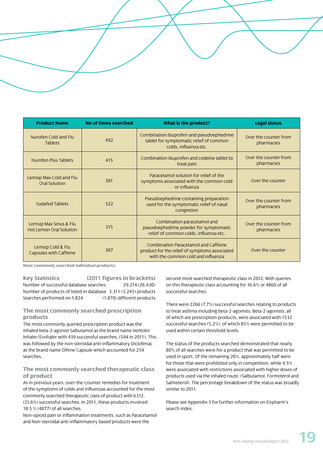| <b>Product Name</b>                                      | No of times searched | What is the product?                                                                                                               |                                     |
|----------------------------------------------------------|----------------------|------------------------------------------------------------------------------------------------------------------------------------|-------------------------------------|
| Nurofen Cold and Flu<br><b>Tablets</b>                   | 492                  | Combination ibuprofen and pseudoephedrine<br>tablet for symptomatic relief of common<br>colds, influenza etc.                      | Over the counter from<br>pharmacies |
| Nurofen Plus Tablets                                     | 415                  | Combination ibuprofen and codeine tablet to<br>treat pain                                                                          | Over the counter from<br>pharmacies |
| Lemsip Max Cold and Flu<br><b>Oral Solution</b>          | 381                  | Paracetamol solution for relief of the<br>symptoms associated with the common cold<br>or influenza                                 | Over the counter                    |
| <b>Sudafed Tablets</b>                                   | 322                  | Pseudoephedrine containing preparation<br>used for the symptomatic relief of nasal<br>congestion                                   | Over the counter from<br>pharmacies |
| Lemsip Max Sinus & Flu<br><b>Hot Lemon Oral Solution</b> | 315                  | Combination paracetamol and<br>pseudoephedrine powder for symptomatic<br>relief of common colds, influenza etc.                    | Over the counter from<br>pharmacies |
| Lemsip Cold & Flu<br><b>Capsules with Caffeine</b>       | 307                  | <b>Combination Paracetamol and Caffeine</b><br>product for the relief of symptoms associated<br>with the common cold and influenza | Over the counter                    |

**Most commonly searched individual products:**

**Key Statistics (2011 figures in brackets)** Number of successful database searches: 29,214 (26,430) Number of products of listed in database 3,311 (3,245) products Searches performed on 1,824 (1,870) different products

#### **The most commonly searched prescription products**

The most commonly queried prescription product was the inhaled beta-2-agonist Salbutamol as the brand name Ventolin Inhaler/Evohaler with 439 successful searches, (544 in 2011). This was followed by the non-steroidal anti-inflammatory Diclofenac as the brand name Difene Capsule which accounted for 254 searches.

#### **The most commonly searched therapeutic class of product**

As in previous years, over-the-counter remedies for treatment of the symptoms of colds and influenzas accounted for the most commonly searched therapeutic class of product with 6312, (21.6%) successful searches. In 2011, these products involved 18.5 % (4877) of all searches.

Non-opioid pain or inflammation treatments, such as Paracetamol and Non-steroidal anti-inflammatory based products were the

second most searched therapeutic class in 2012. With queries on this therapeutic class accounting for 16.6% or 4860 of all successful searches.

There were 2266 (7.7%) successful searches relating to products to treat asthma including beta-2-agonists. Beta-2-agonists, all of which are prescription products, were associated with 1532 successful searches (5.2%), of which 85% were permitted to be used within certain threshold levels.

The status of the products searched demonstrated that nearly 80% of all searches were for a product that was permitted to be used in sport. Of the remaining 20%, approximately half were for those that were prohibited only in competition, while 4.5% were associated with restrictions associated with higher doses of products used via the inhaled route. (Salbutamol, Formoterol and Salmeterol). The percentage breakdown of the status was broadly similar to 2011.

Please see Appendix 3 for further information on Eirpharm's search index.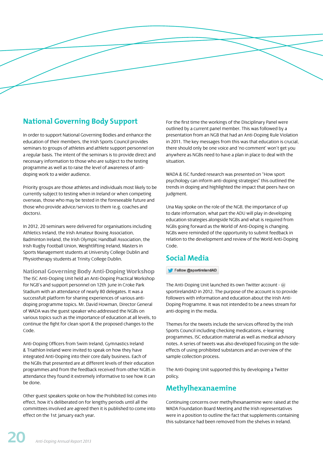#### **National Governing Body Support**

In order to support National Governing Bodies and enhance the education of their members, the Irish Sports Council provides seminars to groups of athletes and athlete support personnel on a regular basis. The intent of the seminars is to provide direct and necessary information to those who are subject to the testing programme as well as to raise the level of awareness of antidoping work to a wider audience.

Priority groups are those athletes and individuals most likely to be currently subject to testing when in Ireland or when competing overseas, those who may be tested in the foreseeable future and those who provide advice/services to them (e.g. coaches and doctors).

In 2012, 20 seminars were delivered for organisations including Athletics Ireland, the Irish Amateur Boxing Association, Badminton Ireland, the Irish Olympic Handball Association, the Irish Rugby Football Union, Weightlifting Ireland, Masters in Sports Management students at University College Dublin and Physiotherapy students at Trinity College Dublin.

**National Governing Body Anti-Doping Workshop** The ISC Anti-Doping Unit held an Anti-Doping Practical Workshop for NGB's and support personnel on 12th June in Croke Park Stadium with an attendance of nearly 80 delegates. It was a successfult platform for sharing experiences of various antidoping programme topics. Mr. David Howman, Director General of WADA was the guest speaker who addressed the NGBs on various topics such as the importance of education at all levels, to continue the fight for clean sport & the proposed changes to the Code.

Anti-Doping Officers from Swim Ireland, Gymnastics Ireland & Triathlon Ireland were invited to speak on how they have integrated Anti-Doping into their core daily business. Each of the NGBs that presented are at different levels of their education programmes and from the feedback received from other NGBS in attendance they found it extremely informative to see how it can be done.

Other guest speakers spoke on how the Prohibited list comes into effect, how it's deliberated on for lengthy periods until all the committees involved are agreed then it is published to come into effect on the 1st January each year.

For the first time the workings of the Disciplinary Panel were outlined by a current panel member. This was followed by a presentation from an NGB that had an Anti-Doping Rule Violation in 2011. The key messages from this was that education is crucial, there should only be one voice and 'no comment' won't get you anywhere as NGBs need to have a plan in place to deal with the situation.

WADA & ISC funded research was presented on "How sport psychology can inform anti-doping strategies" this outlined the trends in doping and highlighted the impact that peers have on judgment.

Una May spoke on the role of the NGB, the importance of up to date information, what part the ADU will play in developing education strategies alongside NGBs and what is required from NGBs going forward as the World of Anti-Doping is changing. NGBs were reminded of the opportunity to submit feedback in relation to the development and review of the World Anti-Doping Code.

#### **Social Media**

#### Follow @sportirelandAD

The Anti-Doping Unit launched its own Twitter account -  $\omega$ sportirelandAD in 2012. The purpose of the account is to provide followers with information and education about the Irish Anti-Doping Programme. It was not intended to be a news stream for anti-doping in the media.

Themes for the tweets include the services offered by the Irish Sports Council including checking medications, e-learning programmes, ISC education material as well as medical advisory notes. A series of tweets was also developed focusing on the sideeffects of using prohibited substances and an overview of the sample collection process.

The Anti-Doping Unit supported this by developing a Twitter policy.

#### **Methylhexanaemine**

Continuing concerns over methylhexanaemine were raised at the WADA Foundation Board Meeting and the Irish representatives were in a position to outline the fact that supplements containing this substance had been removed from the shelves in Ireland.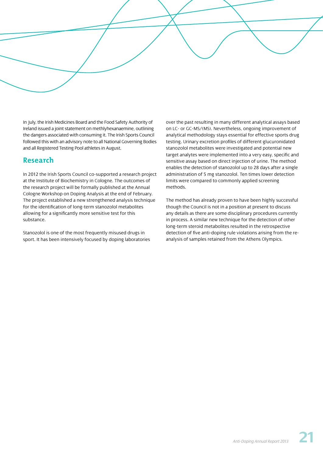In July, the Irish Medicines Board and the Food Safety Authority of Ireland issued a joint statement on methlyhexanaemine, outlining the dangers associated with consuming it. The Irish Sports Council followed this with an advisory note to all National Governing Bodies and all Registered Testing Pool athletes in August.

#### **Research**

In 2012 the Irish Sports Council co-supported a research project at the Institute of Biochemistry in Cologne. The outcomes of the research project will be formally published at the Annual Cologne Workshop on Doping Analysis at the end of February. The project established a new strengthened analysis technique for the identification of long-term stanozolol metabolites allowing for a significantly more sensitive test for this substance.

Stanozolol is one of the most frequently misused drugs in sport. It has been intensively focused by doping laboratories over the past resulting in many different analytical assays based on LC- or GC-MS/(MS). Nevertheless, ongoing improvement of analytical methodology stays essential for effective sports drug testing. Urinary excretion profiles of different glucuronidated stanozolol metabolites were investigated and potential new target analytes were implemented into a very easy, specific and sensitive assay based on direct injection of urine. The method enables the detection of stanozolol up to 28 days after a single administration of 5 mg stanozolol. Ten times lower detection limits were compared to commonly applied screening methods.

The method has already proven to have been highly successful though the Council is not in a position at present to discuss any details as there are some disciplinary procedures currently in process. A similar new technique for the detection of other long-term steroid metabolites resulted in the retrospective detection of five anti-doping rule violations arising from the reanalysis of samples retained from the Athens Olympics.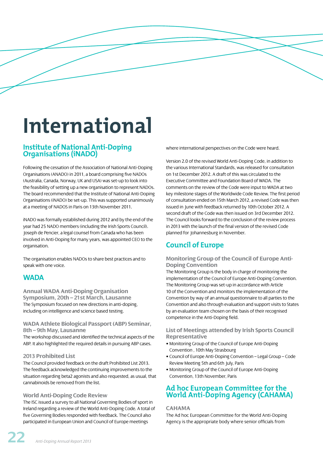### **International**

#### **Institute of National Anti-Doping Organisations (iNADO)**

Following the cessation of the Association of National Anti-Doping Organisations (ANADO) in 2011, a board comprising five NADOs (Australia, Canada, Norway, UK and USA) was set-up to look into the feasibility of setting up a new organisation to represent NADOs. The board recommended that the Institute of National Anti-Doping Organisations (iNADO) be set-up. This was supported unanimously at a meeting of NADOS in Paris on 13th November 2011.

iNADO was formally established during 2012 and by the end of the year had 25 NADO members (including the Irish Sports Council). Joseph de Pencier, a legal counsel from Canada who has been involved in Anti-Doping for many years, was appointed CEO to the organisation.

The organisation enables NADOs to share best practices and to speak with one voice.

#### **WADA**

**Annual WADA Anti-Doping Organisation Symposium, 20th – 21st March, Lausanne** The Symposium focused on new directions in anti-doping, including on intelligence and science based testing.

#### **WADA Athlete Biological Passport (ABP) Seminar, 8th – 9th May, Lausanne**

The workshop discussed and identified the technical aspects of the ABP. It also highlighted the required details in pursuing ABP cases.

#### **2013 Prohibited List**

The Council provided feedback on the draft Prohibited List 2013. The feedback acknowledged the continuing improvements to the situation regarding beta2 agonists and also requested, as usual, that cannabinoids be removed from the list.

#### **World Anti-Doping Code Review**

The ISC issued a survey to all National Governing Bodies of sport in Ireland regarding a review of the World Anti-Doping Code. A total of five Governing Bodies responded with feedback. The Council also participated in European Union and Council of Europe meetings

where international perspectives on the Code were heard.

Version 2.0 of the revised World Anti-Doping Code, in addition to the various International Standards, was released for consultation on 1st December 2012. A draft of this was circulated to the Executive Committee and Foundation Board of WADA. The comments on the review of the Code were input to WADA at two key milestone stages of the Worldwide Code Review. The first period of consultation ended on 15th March 2012, a revised Code was then issued in June with feedback returned by 10th October 2012. A second draft of the Code was then issued on 3rd December 2012. The Council looks forward to the conclusion of the review process in 2013 with the launch of the final version of the revised Code planned for Johannesburg in November.

#### **Council of Europe**

#### **Monitoring Group of the Council of Europe Anti-Doping Convention**

The Monitoring Group is the body in charge of monitoring the implementation of the Council of Europe Anti-Doping Convention. The Monitoring Group was set-up in accordance with Article 10 of the Convention and monitors the implementation of the Convention by way of an annual questionnaire to all parties to the Convention and also through evaluation and support visits to States by an evaluation team chosen on the basis of their recognised competence in the Anti-Doping field.

#### **List of Meetings attended by Irish Sports Council Representative**

- Monitoring Group of the Council of Europe Anti-Doping Convention , 10th May Strasbourg
- Council of Europe Anti-Doping Convention Legal Group Code Review Meeting 5th and 6th July, Paris
- Monitoring Group of the Council of Europe Anti-Doping Convention, 13th November, Paris

#### **Ad hoc European Committee for the World Anti-Doping Agency (CAHAMA)**

#### **CAHAMA**

The Ad hoc European Committee for the World Anti-Doping Agency is the appropriate body where senior officials from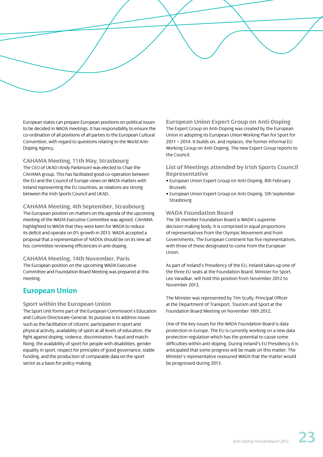European states can prepare European positions on political issues to be decided in WADA meetings. It has responsibility to ensure the co-ordination of all positions of all parties to the European Cultural Convention, with regard to questions relating to the World Anti-Doping Agency.

#### **CAHAMA Meeting, 11th May, Strasbourg**

The CEO of UKAD (Andy Parkinson) was elected to Chair the CAHAMA group. This has facilitated good co-operation between the EU and the Council of Europe views on WADA matters with Ireland representing the EU countries, as relations are strong between the Irish Sports Council and UKAD.

**CAHAMA Meeting, 4th September, Strasbourg** The European position on matters on the agenda of the upcoming meeting of the WADA Executive Committee was agreed. CAHAMA highlighted to WADA that they were keen for WADA to reduce its deficit and operate on 0% growth in 2013. WADA accepted a proposal that a representative of NADOs should be on its new ad hoc committee reviewing efficiencies in anti-doping.

**CAHAMA Meeting, 14th November, Paris** The European position on the upcoming WADA Executive Committee and Foundation Board Meeting was prepared at this meeting.

#### **European Union**

#### **Sport within the European Union**

The Sport Unit forms part of the European Commission's Education and Culture Directorate-General. Its purpose is to address issues such as the facilitation of citizens' participation in sport and physical activity, availability of sport at all levels of education, the fight against doping, violence, discrimination, fraud and matchfixing, the availability of sport for people with disabilities, gender equality in sport, respect for principles of good governance, stable funding, and the production of comparable data on the sport sector as a basis for policy-making.

**European Union Expert Group on Anti-Doping** The Expert Group on Anti-Doping was created by the European Union in adopting its European Union Working Plan for Sport for 2011 – 2014. It builds on, and replaces, the former informal EU Working Group on Anti-Doping. The new Expert Group reports to the Council.

#### **List of Meetings attended by Irish Sports Council Representative**

- European Union Expert Group on Anti-Doping, 8th February Brussels
- European Union Expert Group on Anti-Doping, 5th September Strasbourg

#### **WADA Foundation Board**

The 38 member Foundation Board is WADA's supreme decision-making body. It is comprised in equal proportions of representatives from the Olympic Movement and from Governments. The European Continent has five representatives, with three of these designated to come from the European Union.

As part of Ireland's Presidency of the EU, Ireland takes up one of the three EU seats at the Foundation Board. Minister for Sport, Leo Varadkar, will hold this position from November 2012 to November 2013.

The Minister was represented by Tim Scully, Principal Officer at the Department of Transport, Tourism and Sport at the Foundation Board Meeting on November 18th 2012.

One of the key issues for the WADA Foundation Board is data protection in Europe. The EU is currently working on a new data protection regulation which has the potential to cause some difficulties within anti-doping. During Ireland's EU Presidency it is anticipated that some progress will be made on this matter. The Minister's representative reassured WADA that the matter would be progressed during 2013.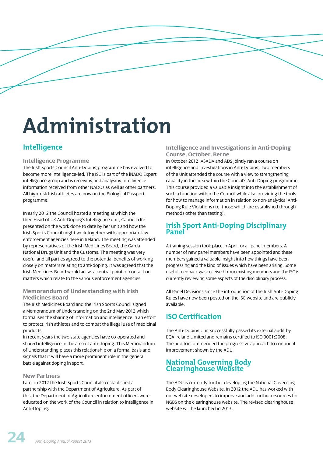### **Administration**

#### **Intelligence**

#### **Intelligence Programme**

The Irish Sports Council Anti-Doping programme has evolved to become more intelligence-led. The ISC is part of the iNADO Expert intelligence group and is receiving and analysing intelligence information received from other NADOs as well as other partners. All high-risk Irish athletes are now on the Biological Passport programme.

In early 2012 the Council hosted a meeting at which the then Head of UK Anti-Doping's Intelligence unit, Gabriella Re presented on the work done to date by her unit and how the Irish Sports Council might work together with appropriate law enforcement agencies here in Ireland. The meeting was attended by representatives of the Irish Medicines Board, the Garda National Drugs Unit and the Customs. The meeting was very useful and all parties agreed to the potential benefits of working closely on matters relating to anti-doping. It was agreed that the Irish Medicines Board would act as a central point of contact on matters which relate to the various enforcement agencies.

#### **Memorandum of Understanding with Irish Medicines Board**

The Irish Medicines Board and the Irish Sports Council signed a Memorandum of Understanding on the 2nd May 2012 which formalises the sharing of information and intelligence in an effort to protect Irish athletes and to combat the illegal use of medicinal products.

In recent years the two state agencies have co-operated and shared intelligence in the area of anti-doping. This Memorandum of Understanding places this relationship on a formal basis and signals that it will have a more prominent role in the general battle against doping in sport.

#### **New Partners**

Later in 2012 the Irish Sports Council also established a partnership with the Department of Agriculture. As part of this, the Department of Agriculture enforcement officers were educated on the work of the Council in relation to intelligence in Anti-Doping.

#### **Intelligence and Investigations in Anti-Doping Course, October, Berne**

In October 2012, ASADA and ADS jointly ran a course on intelligence and investigations in Anti-Doping. Two members of the Unit attended the course with a view to strengthening capacity in the area within the Council's Anti-Doping programme. This course provided a valuable insight into the establishment of such a function within the Council while also providing the tools for how to manage information in relation to non-analytical Anti-Doping Rule Violations (i.e. those which are established through methods other than testing).

#### **Irish Sport Anti-Doping Disciplinary Panel**

A training session took place in April for all panel members. A number of new panel members have been appointed and these members gained a valuable insight into how things have been progressing and the kind of issues which have been arising. Some useful feedback was received from existing members and the ISC is currently reviewing some aspects of the disciplinary process.

All Panel Decisions since the introduction of the Irish Anti-Doping Rules have now been posted on the ISC website and are publicly available.

#### **ISO Certification**

The Anti-Doping Unit successfully passed its external audit by EQA Ireland Limited and remains certified to ISO 9001:2008. The auditor commended the progressive approach to continual improvement shown by the ADU.

#### **National Governing Body Clearinghouse Website**

The ADU is currently further developing the National Governing Body Clearinghouse Website. In 2012 the ADU has worked with our website developers to improve and add further resources for NGBS on the clearinghouse website. The revised clearinghouse website will be launched in 2013.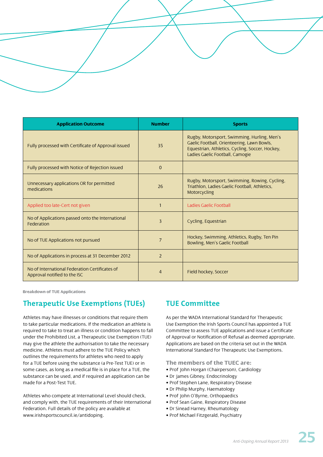| <b>Application Outcome</b>                                                     | <b>Number</b>  | <b>Sports</b>                                                                                                                                                                   |
|--------------------------------------------------------------------------------|----------------|---------------------------------------------------------------------------------------------------------------------------------------------------------------------------------|
| Fully processed with Certificate of Approval issued                            | 35             | Rugby, Motorsport, Swimming, Hurling, Men's<br>Gaelic Football, Orienteering, Lawn Bowls,<br>Equestrian, Athletics, Cycling, Soccer, Hockey,<br>Ladies Gaelic Football, Camogie |
| Fully processed with Notice of Rejection issued                                | $\Omega$       |                                                                                                                                                                                 |
| Unnecessary applications OR for permitted<br>medications                       | 26             | Rugby, Motorsport, Swimming, Rowing, Cycling,<br>Triathlon, Ladies Gaelic Football, Athletics,<br>Motorcycling                                                                  |
| Applied too late-Cert not given                                                |                | <b>Ladies Gaelic Football</b>                                                                                                                                                   |
| No of Applications passed onto the International<br>Federation                 | 3              | Cycling, Equestrian                                                                                                                                                             |
| No of TUE Applications not pursued                                             | $\overline{7}$ | Hockey, Swimming, Athletics, Rugby, Ten Pin<br>Bowling, Men's Gaelic Football                                                                                                   |
| No of Applications in process at 31 December 2012                              | $\overline{2}$ |                                                                                                                                                                                 |
| No of International Federation Certificates of<br>Approval notified to the ISC | $\overline{4}$ | Field hockey, Soccer                                                                                                                                                            |

**Breakdown of TUE Applications**

#### **Therapeutic Use Exemptions (TUEs)**

Athletes may have illnesses or conditions that require them to take particular medications. If the medication an athlete is required to take to treat an illness or condition happens to fall under the Prohibited List, a Therapeutic Use Exemption (TUE) may give the athlete the authorisation to take the necessary medicine. Athletes must adhere to the TUE Policy which outlines the requirements for athletes who need to apply for a TUE before using the substance (a Pre-Test TUE) or in some cases, as long as a medical file is in place for a TUE, the substance can be used, and if required an application can be made for a Post-Test TUE.

Athletes who compete at International Level should check, and comply with, the TUE requirements of their International Federation. Full details of the policy are available at www.irishsportscouncil.ie/antidoping.

#### **TUE Committee**

As per the WADA International Standard for Therapeutic Use Exemption the Irish Sports Council has appointed a TUE Committee to assess TUE applications and issue a Certificate of Approval or Notification of Refusal as deemed appropriate. Applications are based on the criteria set out in the WADA International Standard for Therapeutic Use Exemptions.

**The members of the TUEC are:**

- Prof John Horgan (Chairperson), Cardiology
- Dr James Gibney, Endocrinology
- Prof Stephen Lane, Respiratory Disease
- Dr Philip Murphy, Haematology
- Prof John O'Byrne, Orthopaedics
- Prof Sean Gaine, Respiratory Disease
- Dr Sinead Harney, Rheumatology
- Prof Michael Fitzgerald, Psychiatry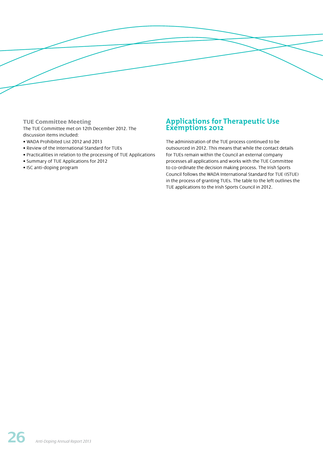#### **TUE Committee Meeting**

The TUE Committee met on 12th December 2012. The discussion items included:

- WADA Prohibited List 2012 and 2013
- Review of the International Standard for TUEs
- Practicalities in relation to the processing of TUE Applications
- Summary of TUE Applications for 2012
- ISC anti-doping program

#### **Applications for Therapeutic Use Exemptions 2012**

The administration of the TUE process continued to be outsourced in 2012. This means that while the contact details for TUEs remain within the Council an external company processes all applications and works with the TUE Committee to co-ordinate the decision making process. The Irish Sports Council follows the WADA International Standard for TUE (ISTUE) in the process of granting TUEs. The table to the left outlines the TUE applications to the Irish Sports Council in 2012.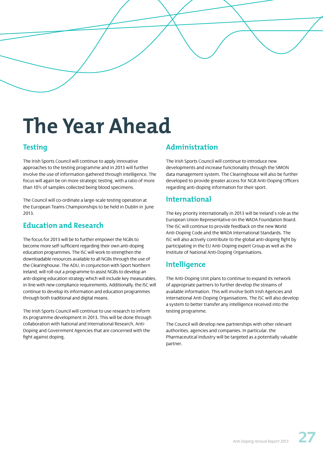### **The Year Ahead**

#### **Testing**

The Irish Sports Council will continue to apply innovative approaches to the testing programme and in 2013 will further involve the use of information gathered through intelligence. The focus will again be on more strategic testing, with a ratio of more than 10% of samples collected being blood specimens.

The Council will co-ordinate a large-scale testing operation at the European Teams Championships to be held in Dublin in June 2013.

#### **Education and Research**

The focus for 2013 will be to further empower the NGBs to become more self-sufficient regarding their own anti-doping education programmes. The ISC will work to strengthen the downloadable resources available to all NGBs through the use of the Clearinghouse. The ADU, in conjunction with Sport Northern Ireland, will roll-out a programme to assist NGBs to develop an anti-doping education strategy which will include key measurables, in-line with new compliance requirements. Additionally, the ISC will continue to develop its information and education programmes through both traditional and digital means.

The Irish Sports Council will continue to use research to inform its programme development in 2013. This will be done through collaboration with National and International Research, Anti-Doping and Government Agencies that are concerned with the fight against doping.

#### **Administration**

The Irish Sports Council will continue to introduce new developments and increase functionality through the SIMON data management system. The Clearinghouse will also be further developed to provide greater access for NGB Anti-Doping Officers regarding anti-doping information for their sport.

#### **International**

The key priority internationally in 2013 will be Ireland's role as the European Union Representative on the WADA Foundation Board. The ISC will continue to provide feedback on the new World Anti-Doping Code and the WADA International Standards. The ISC will also actively contribute to the global anti-doping fight by participating in the EU Anti-Doping expert Group as well as the Institute of National Anti-Doping Organisations.

#### **Intelligence**

The Anti-Doping Unit plans to continue to expand its network of appropriate partners to further develop the streams of available information. This will involve both Irish Agencies and international Anti-Doping Organisations. The ISC will also develop a system to better transfer any intelligence received into the testing programme.

The Council will develop new partnerships with other relevant authorities, agencies and companies. In particular, the Pharmaceutical Industry will be targeted as a potentially valuable partner.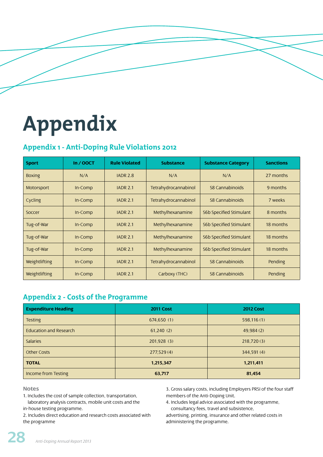### **Appendix**

#### **Appendix 1 - Anti-Doping Rule Violations 2012**

| <b>Sport</b>  | In $/$ OOCT | <b>Rule Violated</b> | <b>Substance Category</b><br><b>Substance</b>      |                                | <b>Sanctions</b> |
|---------------|-------------|----------------------|----------------------------------------------------|--------------------------------|------------------|
| <b>Boxing</b> | N/A         | <b>IADR 2.8</b>      | N/A                                                | N/A                            | 27 months        |
| Motorsport    | In-Comp     | <b>IADR 2.1</b>      | Tetrahydrocannabinol<br>S8 Cannabinoids            |                                | 9 months         |
| Cycling       | In-Comp     | <b>IADR 2.1</b>      | Tetrahydrocannabinol<br>S8 Cannabinoids            |                                | 7 weeks          |
| Soccer        | In-Comp     | <b>IADR 2.1</b>      | Methylhexanamine                                   | <b>S6b Specified Stimulant</b> | 8 months         |
| Tug-of-War    | In-Comp     | <b>IADR 2.1</b>      | Methylhexanamine                                   | <b>S6b Specified Stimulant</b> | 18 months        |
| Tug-of-War    | In-Comp     | <b>IADR 2.1</b>      | Methylhexanamine                                   | <b>S6b Specified Stimulant</b> | 18 months        |
| Tug-of-War    | In-Comp     | <b>IADR 2.1</b>      | Methylhexanamine<br><b>S6b Specified Stimulant</b> |                                | 18 months        |
| Weightlifting | In-Comp     | <b>IADR 2.1</b>      | Tetrahydrocannabinol                               | S8 Cannabinoids                | Pending          |
| Weightlifting | In-Comp     | <b>IADR 2.1</b>      | Carboxy (THC)                                      | S8 Cannabinoids                | Pending          |

### **Appendix 2 - Costs of the Programme**

| <b>Expenditure Heading</b>    | <b>2011 Cost</b> | <b>2012 Cost</b> |
|-------------------------------|------------------|------------------|
| <b>Testing</b>                | 674,650(1)       | 598,116(1)       |
| <b>Education and Research</b> | 61,240(2)        | 49,984 (2)       |
| <b>Salaries</b>               | 201,928(3)       | 218,720(3)       |
| <b>Other Costs</b>            | 277,529(4)       | 344,591(4)       |
| <b>TOTAL</b>                  | 1,215,347        | 1,211,411        |
| Income from Testing           | 63,717           | 81,454           |

**Notes**

1. Includes the cost of sample collection, transportation, laboratory analysis contracts, mobile unit costs and the

in-house testing programme.

2. Includes direct education and research costs associated with the programme

3. Gross salary costs, including Employers PRSI of the four staff members of the Anti-Doping Unit.

4. Includes legal advice associated with the programme, consultancy fees, travel and subsistence,

advertising, printing, insurance and other related costs in administering the programme.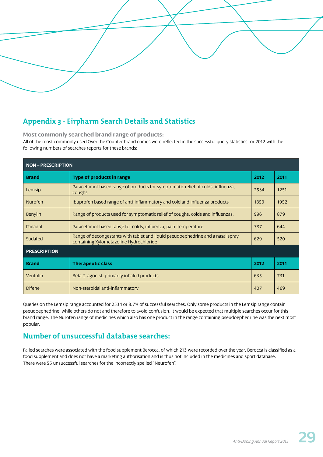

#### **Appendix 3 - Eirpharm Search Details and Statistics**

**Most commonly searched brand range of products:**

All of the most commonly used Over the Counter brand names were reflected in the successful query statistics for 2012 with the following numbers of searches reports for these brands:

| <b>NON-PRESCRIPTION</b> |                                                                                                                            |      |      |  |  |  |
|-------------------------|----------------------------------------------------------------------------------------------------------------------------|------|------|--|--|--|
| <b>Brand</b>            | <b>Type of products in range</b>                                                                                           | 2012 | 2011 |  |  |  |
| Lemsip                  | Paracetamol-based range of products for symptomatic relief of colds, influenza,<br>coughs                                  | 2534 | 1251 |  |  |  |
| <b>Nurofen</b>          | Ibuprofen based range of anti-inflammatory and cold and influenza products                                                 | 1859 | 1952 |  |  |  |
| Benylin                 | Range of products used for symptomatic relief of coughs, colds and influenzas.                                             |      | 879  |  |  |  |
| Panadol                 | Paracetamol-based range for colds, influenza, pain, temperature                                                            | 787  | 644  |  |  |  |
| Sudafed                 | Range of decongestants with tablet and liquid pseudoephedrine and a nasal spray<br>containing Xylometazoline Hydrochloride | 629  | 520  |  |  |  |
| <b>PRESCRIPTION</b>     |                                                                                                                            |      |      |  |  |  |
| <b>Brand</b>            | <b>Therapeutic class</b>                                                                                                   | 2012 | 2011 |  |  |  |
| Ventolin                | Beta-2-agonist, primarily inhaled products                                                                                 | 635  | 731  |  |  |  |
| <b>Difene</b>           | Non-steroidal anti-inflammatory                                                                                            | 407  | 469  |  |  |  |

Queries on the Lemsip range accounted for 2534 or 8.7% of successful searches. Only some products in the Lemsip range contain pseudoephedrine, while others do not and therefore to avoid confusion, it would be expected that multiple searches occur for this brand range. The Nurofen range of medicines which also has one product in the range containing pseudoephedrine was the next most popular.

#### **Number of unsuccessful database searches:**

Failed searches were associated with the food supplement Berocca, of which 213 were recorded over the year. Berocca is classified as a food supplement and does not have a marketing authorisation and is thus not included in the medicines and sport database. There were 55 unsuccessful searches for the incorrectly spelled "Neurofen".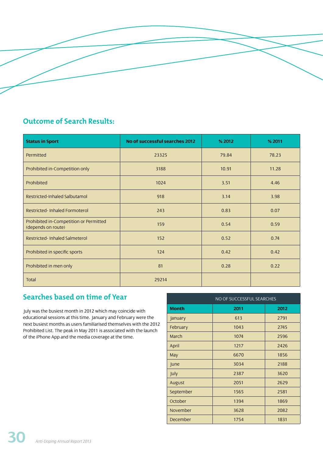

#### **Outcome of Search Results:**

| <b>Status in Sport</b>                                       | No of successful searches 2012 | % 2012 | % 2011 |
|--------------------------------------------------------------|--------------------------------|--------|--------|
| Permitted                                                    | 23325                          | 79.84  | 78.23  |
| Prohibited in-Competition only                               | 3188                           | 10.91  | 11.28  |
| Prohibited                                                   | 1024                           | 3.51   | 4.46   |
| Restricted-Inhaled Salbutamol                                | 918                            | 3.14   | 3.98   |
| <b>Restricted-Inhaled Formoterol</b>                         | 243                            | 0.83   | 0.07   |
| Prohibited in-Competition or Permitted<br>(depends on route) | 159                            | 0.54   | 0.59   |
| Restricted-Inhaled Salmeterol                                | 152                            | 0.52   | 0.74   |
| Prohibited in specific sports                                | 124                            | 0.42   | 0.42   |
| Prohibited in men only                                       | 81                             | 0.28   | 0.22   |
| <b>Total</b>                                                 | 29214                          |        |        |

#### **Searches based on time of Year**

July was the busiest month in 2012 which may coincide with educational sessions at this time. January and February were the next busiest months as users familiarised themselves with the 2012 Prohibited List. The peak in May 2011 is associated with the launch of the iPhone App and the media coverage at the time.

|              | NO OF SUCCESSFUL SEARCHES |      |  |
|--------------|---------------------------|------|--|
| <b>Month</b> | 2011                      | 2012 |  |
| January      | 613                       | 2791 |  |
| February     | 1043                      | 2745 |  |
| March        | 1074                      | 2596 |  |
| April        | 1217                      | 2426 |  |
| May          | 6670                      | 1856 |  |
| June         | 3034                      | 2188 |  |
| July         | 2387                      | 3620 |  |
| August       | 2051                      | 2629 |  |
| September    | 1565                      | 2581 |  |
| October      | 1394                      | 1869 |  |
| November     | 3628                      | 2082 |  |
| December     | 1754                      | 1831 |  |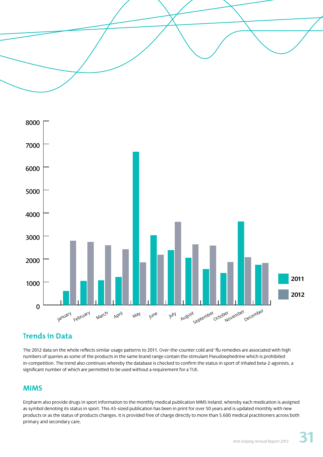



#### **Trends in Data**

The 2012 data on the whole reflects similar usage patterns to 2011. Over-the-counter cold and 'flu remedies are associated with high numbers of queries as some of the products in the same brand range contain the stimulant Pseudoephedrine which is prohibited in-competition. The trend also continues whereby the database is checked to confirm the status in sport of inhaled beta-2-agonists, a significant number of which are permitted to be used without a requirement for a TUE.

#### **MIMS**

Eirpharm also provide drugs in sport information to the monthly medical publication MIMS Ireland, whereby each medication is assigned as symbol denoting its status in sport. This A5-sized publication has been in print for over 50 years and is updated monthly with new products or as the status of products changes. It is provided free of charge directly to more than 5,600 medical practitioners across both primary and secondary care.